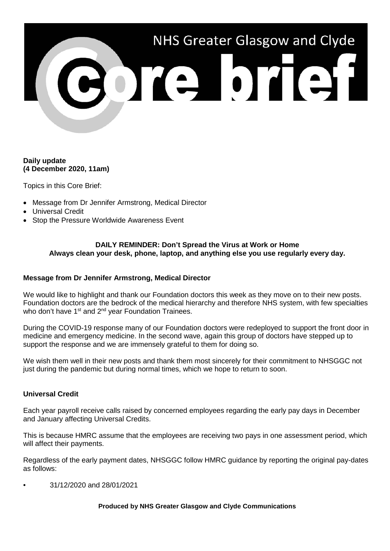# NHS Greater Glasgow and Clyde

## **Daily update (4 December 2020, 11am)**

Topics in this Core Brief:

- Message from Dr Jennifer Armstrong, Medical Director
- Universal Credit
- Stop the Pressure Worldwide Awareness Event

## **DAILY REMINDER: Don't Spread the Virus at Work or Home Always clean your desk, phone, laptop, and anything else you use regularly every day.**

## **Message from Dr Jennifer Armstrong, Medical Director**

We would like to highlight and thank our Foundation doctors this week as they move on to their new posts. Foundation doctors are the bedrock of the medical hierarchy and therefore NHS system, with few specialties who don't have  $1<sup>st</sup>$  and  $2<sup>nd</sup>$  year Foundation Trainees.

During the COVID-19 response many of our Foundation doctors were redeployed to support the front door in medicine and emergency medicine. In the second wave, again this group of doctors have stepped up to support the response and we are immensely grateful to them for doing so.

We wish them well in their new posts and thank them most sincerely for their commitment to NHSGGC not just during the pandemic but during normal times, which we hope to return to soon.

# **Universal Credit**

Each year payroll receive calls raised by concerned employees regarding the early pay days in December and January affecting Universal Credits.

This is because HMRC assume that the employees are receiving two pays in one assessment period, which will affect their payments.

Regardless of the early payment dates, NHSGGC follow HMRC guidance by reporting the original pay-dates as follows:

• 31/12/2020 and 28/01/2021

## **Produced by NHS Greater Glasgow and Clyde Communications**